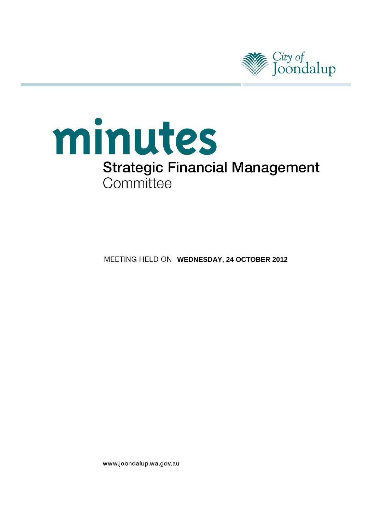

# minutes **Strategic Financial Management** Committee

**MEETING HELD ON WEDNESDAY, 24 OCTOBER 2012** 

www.joondalup.wa.gov.au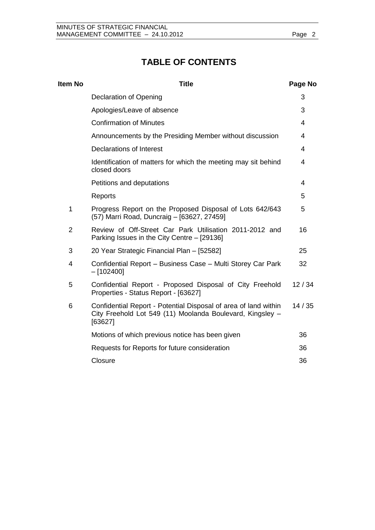# **TABLE OF CONTENTS**

| Item No        | <b>Title</b>                                                                                                                            | Page No |
|----------------|-----------------------------------------------------------------------------------------------------------------------------------------|---------|
|                | Declaration of Opening                                                                                                                  | 3       |
|                | Apologies/Leave of absence                                                                                                              | 3       |
|                | <b>Confirmation of Minutes</b>                                                                                                          | 4       |
|                | Announcements by the Presiding Member without discussion                                                                                | 4       |
|                | Declarations of Interest                                                                                                                | 4       |
|                | Identification of matters for which the meeting may sit behind<br>closed doors                                                          | 4       |
|                | Petitions and deputations                                                                                                               | 4       |
|                | Reports                                                                                                                                 | 5       |
| 1              | Progress Report on the Proposed Disposal of Lots 642/643<br>(57) Marri Road, Duncraig - [63627, 27459]                                  | 5       |
| $\overline{2}$ | Review of Off-Street Car Park Utilisation 2011-2012 and<br>Parking Issues in the City Centre - [29136]                                  | 16      |
| 3              | 20 Year Strategic Financial Plan - [52582]                                                                                              | 25      |
| 4              | Confidential Report - Business Case - Multi Storey Car Park<br>$-[102400]$                                                              | 32      |
| 5              | Confidential Report - Proposed Disposal of City Freehold<br>Properties - Status Report - [63627]                                        | 12/34   |
| 6              | Confidential Report - Potential Disposal of area of land within<br>City Freehold Lot 549 (11) Moolanda Boulevard, Kingsley -<br>[63627] | 14/35   |
|                | Motions of which previous notice has been given                                                                                         | 36      |
|                | Requests for Reports for future consideration                                                                                           | 36      |
|                | Closure                                                                                                                                 | 36      |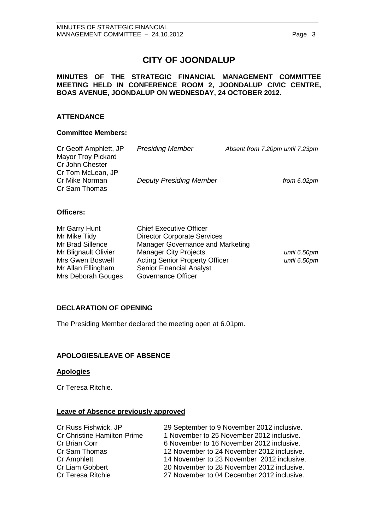# **CITY OF JOONDALUP**

#### **MINUTES OF THE STRATEGIC FINANCIAL MANAGEMENT COMMITTEE MEETING HELD IN CONFERENCE ROOM 2, JOONDALUP CIVIC CENTRE, BOAS AVENUE, JOONDALUP ON WEDNESDAY, 24 OCTOBER 2012.**

#### **ATTENDANCE**

#### **Committee Members:**

| Cr Geoff Amphlett, JP<br>Mayor Troy Pickard          | <b>Presiding Member</b>        | Absent from 7.20pm until 7.23pm |
|------------------------------------------------------|--------------------------------|---------------------------------|
| Cr John Chester                                      |                                |                                 |
| Cr Tom McLean, JP<br>Cr Mike Norman<br>Cr Sam Thomas | <b>Deputy Presiding Member</b> | from 6.02pm                     |

#### **Officers:**

| Mr Garry Hunt        | <b>Chief Executive Officer</b>        |              |
|----------------------|---------------------------------------|--------------|
| Mr Mike Tidy         | <b>Director Corporate Services</b>    |              |
| Mr Brad Sillence     | Manager Governance and Marketing      |              |
| Mr Blignault Olivier | <b>Manager City Projects</b>          | until 6.50pm |
| Mrs Gwen Boswell     | <b>Acting Senior Property Officer</b> | until 6.50pm |
| Mr Allan Ellingham   | <b>Senior Financial Analyst</b>       |              |
| Mrs Deborah Gouges   | Governance Officer                    |              |

#### <span id="page-2-0"></span>**DECLARATION OF OPENING**

The Presiding Member declared the meeting open at 6.01pm.

## <span id="page-2-1"></span>**APOLOGIES/LEAVE OF ABSENCE**

#### **Apologies**

Cr Teresa Ritchie.

#### **Leave of Absence previously approved**

| Cr Russ Fishwick, JP               | 29 September to 9 November 2012 inclusive. |
|------------------------------------|--------------------------------------------|
| <b>Cr Christine Hamilton-Prime</b> | 1 November to 25 November 2012 inclusive.  |
| <b>Cr Brian Corr</b>               | 6 November to 16 November 2012 inclusive.  |
| Cr Sam Thomas                      | 12 November to 24 November 2012 inclusive. |
| Cr Amphlett                        | 14 November to 23 November 2012 inclusive. |
| Cr Liam Gobbert                    | 20 November to 28 November 2012 inclusive. |
| Cr Teresa Ritchie                  | 27 November to 04 December 2012 inclusive. |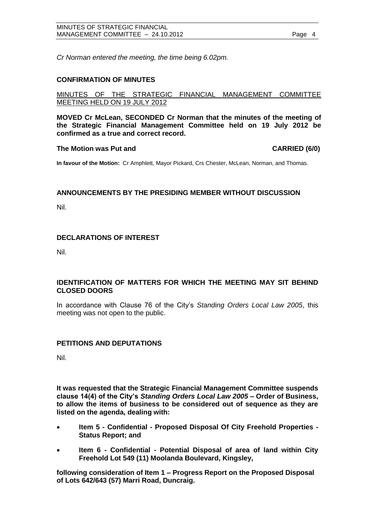*Cr Norman entered the meeting, the time being 6.02pm.* 

#### <span id="page-3-0"></span>**CONFIRMATION OF MINUTES**

#### MINUTES OF THE STRATEGIC FINANCIAL MANAGEMENT COMMITTEE MEETING HELD ON 19 JULY 2012

**MOVED Cr McLean, SECONDED Cr Norman that the minutes of the meeting of the Strategic Financial Management Committee held on 19 July 2012 be confirmed as a true and correct record.**

#### **The Motion was Put and CARRIED (6/0)**

**In favour of the Motion:** Cr Amphlett, Mayor Pickard, Crs Chester, McLean, Norman, and Thomas.

#### <span id="page-3-1"></span>**ANNOUNCEMENTS BY THE PRESIDING MEMBER WITHOUT DISCUSSION**

Nil.

#### <span id="page-3-2"></span>**DECLARATIONS OF INTEREST**

Nil.

#### <span id="page-3-3"></span>**IDENTIFICATION OF MATTERS FOR WHICH THE MEETING MAY SIT BEHIND CLOSED DOORS**

In accordance with Clause 76 of the City's *Standing Orders Local Law 2005*, this meeting was not open to the public.

#### <span id="page-3-4"></span>**PETITIONS AND DEPUTATIONS**

Nil.

**It was requested that the Strategic Financial Management Committee suspends clause 14(4) of the City's** *Standing Orders Local Law 2005* **– Order of Business, to allow the items of business to be considered out of sequence as they are listed on the agenda, dealing with:**

- **Item 5 - Confidential - Proposed Disposal Of City Freehold Properties - Status Report; and**
- **Item 6 - Confidential - Potential Disposal of area of land within City Freehold Lot 549 (11) Moolanda Boulevard, Kingsley,**

**following consideration of Item 1 – Progress Report on the Proposed Disposal of Lots 642/643 (57) Marri Road, Duncraig.**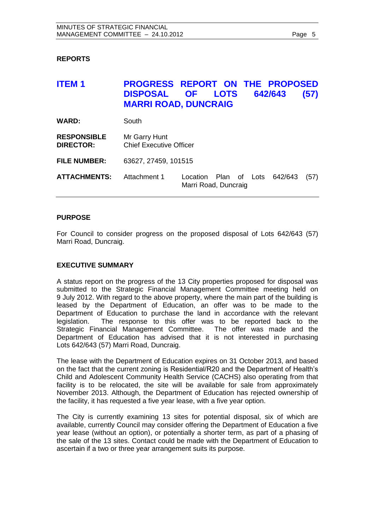#### <span id="page-4-0"></span>**REPORTS**

# <span id="page-4-1"></span>**ITEM 1 PROGRESS REPORT ON THE PROPOSED DISPOSAL OF LOTS 642/643 (57) MARRI ROAD, DUNCRAIG**

**WARD:** South

**RESPONSIBLE** Mr Garry Hunt **DIRECTOR:** Chief Executive Officer

**FILE NUMBER:** 63627, 27459, 101515

**ATTACHMENTS:** Attachment 1 Location Plan of Lots 642/643 (57) Marri Road, Duncraig

#### **PURPOSE**

For Council to consider progress on the proposed disposal of Lots 642/643 (57) Marri Road, Duncraig.

#### **EXECUTIVE SUMMARY**

A status report on the progress of the 13 City properties proposed for disposal was submitted to the Strategic Financial Management Committee meeting held on 9 July 2012. With regard to the above property, where the main part of the building is leased by the Department of Education, an offer was to be made to the Department of Education to purchase the land in accordance with the relevant legislation. The response to this offer was to be reported back to the Strategic Financial Management Committee. The offer was made and the Department of Education has advised that it is not interested in purchasing Lots 642/643 (57) Marri Road, Duncraig.

The lease with the Department of Education expires on 31 October 2013, and based on the fact that the current zoning is Residential/R20 and the Department of Health's Child and Adolescent Community Health Service (CACHS) also operating from that facility is to be relocated, the site will be available for sale from approximately November 2013. Although, the Department of Education has rejected ownership of the facility, it has requested a five year lease, with a five year option.

The City is currently examining 13 sites for potential disposal, six of which are available, currently Council may consider offering the Department of Education a five year lease (without an option), or potentially a shorter term, as part of a phasing of the sale of the 13 sites. Contact could be made with the Department of Education to ascertain if a two or three year arrangement suits its purpose.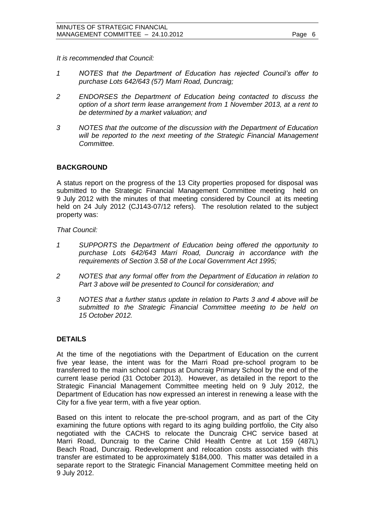*It is recommended that Council:*

- *1 NOTES that the Department of Education has rejected Council's offer to purchase Lots 642/643 (57) Marri Road, Duncraig;*
- *2 ENDORSES the Department of Education being contacted to discuss the option of a short term lease arrangement from 1 November 2013, at a rent to be determined by a market valuation; and*
- *3 NOTES that the outcome of the discussion with the Department of Education will be reported to the next meeting of the Strategic Financial Management Committee.*

#### **BACKGROUND**

A status report on the progress of the 13 City properties proposed for disposal was submitted to the Strategic Financial Management Committee meeting held on 9 July 2012 with the minutes of that meeting considered by Council at its meeting held on 24 July 2012 (CJ143-07/12 refers). The resolution related to the subject property was:

*That Council:*

- *1 SUPPORTS the Department of Education being offered the opportunity to purchase Lots 642/643 Marri Road, Duncraig in accordance with the requirements of Section 3.58 of the Local Government Act 1995;*
- *2 NOTES that any formal offer from the Department of Education in relation to Part 3 above will be presented to Council for consideration; and*
- *3 NOTES that a further status update in relation to Parts 3 and 4 above will be submitted to the Strategic Financial Committee meeting to be held on 15 October 2012.*

#### **DETAILS**

At the time of the negotiations with the Department of Education on the current five year lease, the intent was for the Marri Road pre-school program to be transferred to the main school campus at Duncraig Primary School by the end of the current lease period (31 October 2013). However, as detailed in the report to the Strategic Financial Management Committee meeting held on 9 July 2012, the Department of Education has now expressed an interest in renewing a lease with the City for a five year term, with a five year option.

Based on this intent to relocate the pre-school program, and as part of the City examining the future options with regard to its aging building portfolio, the City also negotiated with the CACHS to relocate the Duncraig CHC service based at Marri Road, Duncraig to the Carine Child Health Centre at Lot 159 (487L) Beach Road, Duncraig. Redevelopment and relocation costs associated with this transfer are estimated to be approximately \$184,000. This matter was detailed in a separate report to the Strategic Financial Management Committee meeting held on 9 July 2012.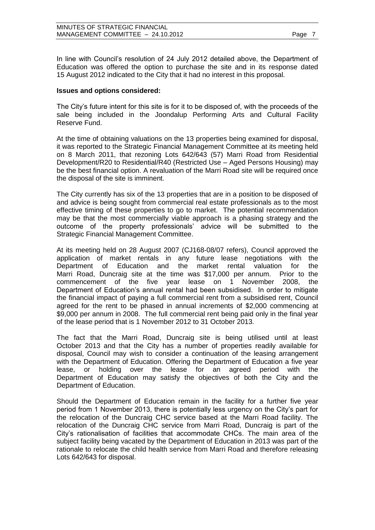In line with Council's resolution of 24 July 2012 detailed above, the Department of Education was offered the option to purchase the site and in its response dated 15 August 2012 indicated to the City that it had no interest in this proposal.

#### **Issues and options considered:**

The City's future intent for this site is for it to be disposed of, with the proceeds of the sale being included in the Joondalup Performing Arts and Cultural Facility Reserve Fund.

At the time of obtaining valuations on the 13 properties being examined for disposal, it was reported to the Strategic Financial Management Committee at its meeting held on 8 March 2011, that rezoning Lots 642/643 (57) Marri Road from Residential Development/R20 to Residential/R40 (Restricted Use – Aged Persons Housing) may be the best financial option. A revaluation of the Marri Road site will be required once the disposal of the site is imminent.

The City currently has six of the 13 properties that are in a position to be disposed of and advice is being sought from commercial real estate professionals as to the most effective timing of these properties to go to market. The potential recommendation may be that the most commercially viable approach is a phasing strategy and the outcome of the property professionals' advice will be submitted to the Strategic Financial Management Committee.

At its meeting held on 28 August 2007 (CJ168-08/07 refers), Council approved the application of market rentals in any future lease negotiations with the Department of Education and the market rental valuation for the Marri Road, Duncraig site at the time was \$17,000 per annum. Prior to the commencement of the five year lease on 1 November 2008, the Department of Education's annual rental had been subsidised. In order to mitigate the financial impact of paying a full commercial rent from a subsidised rent, Council agreed for the rent to be phased in annual increments of \$2,000 commencing at \$9,000 per annum in 2008. The full commercial rent being paid only in the final year of the lease period that is 1 November 2012 to 31 October 2013.

The fact that the Marri Road, Duncraig site is being utilised until at least October 2013 and that the City has a number of properties readily available for disposal, Council may wish to consider a continuation of the leasing arrangement with the Department of Education. Offering the Department of Education a five year lease, or holding over the lease for an agreed period with the Department of Education may satisfy the objectives of both the City and the Department of Education.

Should the Department of Education remain in the facility for a further five year period from 1 November 2013, there is potentially less urgency on the City's part for the relocation of the Duncraig CHC service based at the Marri Road facility. The relocation of the Duncraig CHC service from Marri Road, Duncraig is part of the City's rationalisation of facilities that accommodate CHCs. The main area of the subject facility being vacated by the Department of Education in 2013 was part of the rationale to relocate the child health service from Marri Road and therefore releasing Lots 642/643 for disposal.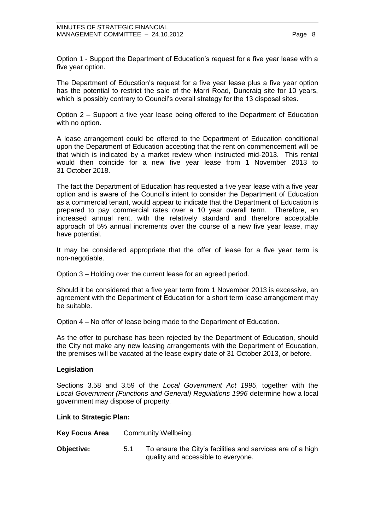Option 1 - Support the Department of Education's request for a five year lease with a five year option.

The Department of Education's request for a five year lease plus a five year option has the potential to restrict the sale of the Marri Road, Duncraig site for 10 years, which is possibly contrary to Council's overall strategy for the 13 disposal sites.

Option 2 – Support a five year lease being offered to the Department of Education with no option.

A lease arrangement could be offered to the Department of Education conditional upon the Department of Education accepting that the rent on commencement will be that which is indicated by a market review when instructed mid-2013. This rental would then coincide for a new five year lease from 1 November 2013 to 31 October 2018.

The fact the Department of Education has requested a five year lease with a five year option and is aware of the Council's intent to consider the Department of Education as a commercial tenant, would appear to indicate that the Department of Education is prepared to pay commercial rates over a 10 year overall term. Therefore, an increased annual rent, with the relatively standard and therefore acceptable approach of 5% annual increments over the course of a new five year lease, may have potential.

It may be considered appropriate that the offer of lease for a five year term is non-negotiable.

Option 3 – Holding over the current lease for an agreed period.

Should it be considered that a five year term from 1 November 2013 is excessive, an agreement with the Department of Education for a short term lease arrangement may be suitable.

Option 4 – No offer of lease being made to the Department of Education.

As the offer to purchase has been rejected by the Department of Education, should the City not make any new leasing arrangements with the Department of Education, the premises will be vacated at the lease expiry date of 31 October 2013, or before.

#### **Legislation**

Sections 3.58 and 3.59 of the *Local Government Act 1995*, together with the *Local Government (Functions and General) Regulations 1996* determine how a local government may dispose of property.

#### **Link to Strategic Plan:**

**Key Focus Area** Community Wellbeing.

**Objective:** 5.1 To ensure the City's facilities and services are of a high quality and accessible to everyone.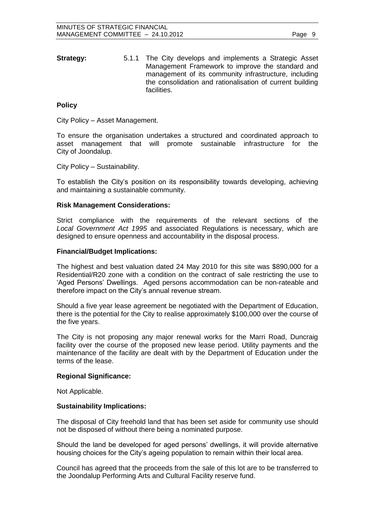**Strategy:** 5.1.1 The City develops and implements a Strategic Asset Management Framework to improve the standard and management of its community infrastructure, including the consolidation and rationalisation of current building facilities.

#### **Policy**

City Policy – Asset Management.

To ensure the organisation undertakes a structured and coordinated approach to asset management that will promote sustainable infrastructure for the City of Joondalup.

City Policy – Sustainability.

To establish the City's position on its responsibility towards developing, achieving and maintaining a sustainable community.

#### **Risk Management Considerations:**

Strict compliance with the requirements of the relevant sections of the *Local Government Act 1995* and associated Regulations is necessary, which are designed to ensure openness and accountability in the disposal process.

#### **Financial/Budget Implications:**

The highest and best valuation dated 24 May 2010 for this site was \$890,000 for a Residential/R20 zone with a condition on the contract of sale restricting the use to 'Aged Persons' Dwellings. Aged persons accommodation can be non-rateable and therefore impact on the City's annual revenue stream.

Should a five year lease agreement be negotiated with the Department of Education, there is the potential for the City to realise approximately \$100,000 over the course of the five years.

The City is not proposing any major renewal works for the Marri Road, Duncraig facility over the course of the proposed new lease period. Utility payments and the maintenance of the facility are dealt with by the Department of Education under the terms of the lease.

#### **Regional Significance:**

Not Applicable.

#### **Sustainability Implications:**

The disposal of City freehold land that has been set aside for community use should not be disposed of without there being a nominated purpose.

Should the land be developed for aged persons' dwellings, it will provide alternative housing choices for the City's ageing population to remain within their local area.

Council has agreed that the proceeds from the sale of this lot are to be transferred to the Joondalup Performing Arts and Cultural Facility reserve fund.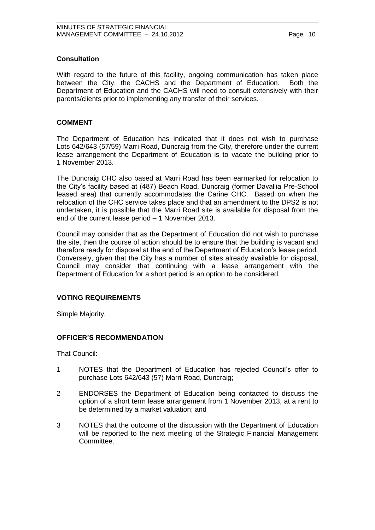#### **Consultation**

With regard to the future of this facility, ongoing communication has taken place between the City, the CACHS and the Department of Education. Both the Department of Education and the CACHS will need to consult extensively with their parents/clients prior to implementing any transfer of their services.

#### **COMMENT**

The Department of Education has indicated that it does not wish to purchase Lots 642/643 (57/59) Marri Road, Duncraig from the City, therefore under the current lease arrangement the Department of Education is to vacate the building prior to 1 November 2013.

The Duncraig CHC also based at Marri Road has been earmarked for relocation to the City's facility based at (487) Beach Road, Duncraig (former Davallia Pre-School leased area) that currently accommodates the Carine CHC. Based on when the relocation of the CHC service takes place and that an amendment to the DPS2 is not undertaken, it is possible that the Marri Road site is available for disposal from the end of the current lease period – 1 November 2013.

Council may consider that as the Department of Education did not wish to purchase the site, then the course of action should be to ensure that the building is vacant and therefore ready for disposal at the end of the Department of Education's lease period. Conversely, given that the City has a number of sites already available for disposal, Council may consider that continuing with a lease arrangement with the Department of Education for a short period is an option to be considered.

#### **VOTING REQUIREMENTS**

Simple Majority.

#### **OFFICER'S RECOMMENDATION**

That Council:

- 1 NOTES that the Department of Education has rejected Council's offer to purchase Lots 642/643 (57) Marri Road, Duncraig;
- 2 ENDORSES the Department of Education being contacted to discuss the option of a short term lease arrangement from 1 November 2013, at a rent to be determined by a market valuation; and
- 3 NOTES that the outcome of the discussion with the Department of Education will be reported to the next meeting of the Strategic Financial Management Committee.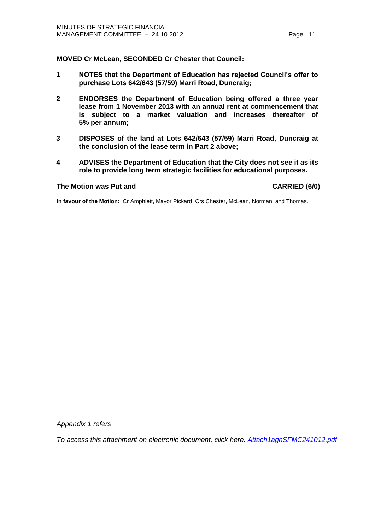**MOVED Cr McLean, SECONDED Cr Chester that Council:**

- **1 NOTES that the Department of Education has rejected Council's offer to purchase Lots 642/643 (57/59) Marri Road, Duncraig;**
- **2 ENDORSES the Department of Education being offered a three year lease from 1 November 2013 with an annual rent at commencement that is subject to a market valuation and increases thereafter of 5% per annum;**
- **3 DISPOSES of the land at Lots 642/643 (57/59) Marri Road, Duncraig at the conclusion of the lease term in Part 2 above;**
- **4 ADVISES the Department of Education that the City does not see it as its role to provide long term strategic facilities for educational purposes.**

#### **The Motion was Put and CARRIED (6/0)**

**In favour of the Motion:** Cr Amphlett, Mayor Pickard, Crs Chester, McLean, Norman, and Thomas.

*Appendix 1 refers*

*To access this attachment on electronic document, click her[e:](Attach1agnSFMC241012.pdf) [Attach1agnSFMC241012.pdf](file://coj-fluorine/Minutes/minagenda/FINAL/Attachments/Attach1agnSFMC241012.pdf)*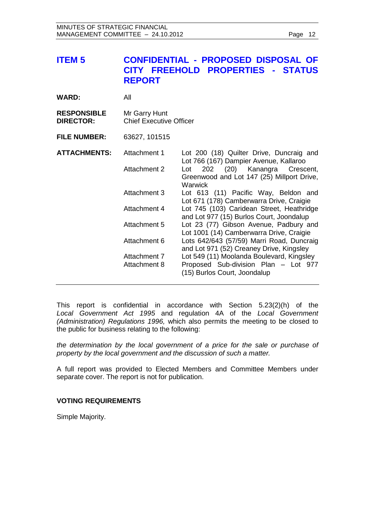<span id="page-11-0"></span>

| <b>ITEM 5</b>                          | <b>CITY</b><br><b>REPORT</b>                                                                                                 | CONFIDENTIAL - PROPOSED DISPOSAL OF<br><b>FREEHOLD PROPERTIES</b><br>- STATUS                                                                                                                                                                                                                                                                                                                                                                                                                                                                                                                                                      |
|----------------------------------------|------------------------------------------------------------------------------------------------------------------------------|------------------------------------------------------------------------------------------------------------------------------------------------------------------------------------------------------------------------------------------------------------------------------------------------------------------------------------------------------------------------------------------------------------------------------------------------------------------------------------------------------------------------------------------------------------------------------------------------------------------------------------|
| <b>WARD:</b>                           | All                                                                                                                          |                                                                                                                                                                                                                                                                                                                                                                                                                                                                                                                                                                                                                                    |
| <b>RESPONSIBLE</b><br><b>DIRECTOR:</b> | Mr Garry Hunt<br><b>Chief Executive Officer</b>                                                                              |                                                                                                                                                                                                                                                                                                                                                                                                                                                                                                                                                                                                                                    |
| <b>FILE NUMBER:</b>                    | 63627, 101515                                                                                                                |                                                                                                                                                                                                                                                                                                                                                                                                                                                                                                                                                                                                                                    |
| <b>ATTACHMENTS:</b>                    | Attachment 1<br>Attachment 2<br>Attachment 3<br>Attachment 4<br>Attachment 5<br>Attachment 6<br>Attachment 7<br>Attachment 8 | Lot 200 (18) Quilter Drive, Duncraig and<br>Lot 766 (167) Dampier Avenue, Kallaroo<br>202 (20) Kanangra Crescent,<br>Lot<br>Greenwood and Lot 147 (25) Millport Drive,<br>Warwick<br>Lot 613 (11) Pacific Way, Beldon and<br>Lot 671 (178) Camberwarra Drive, Craigie<br>Lot 745 (103) Caridean Street, Heathridge<br>and Lot 977 (15) Burlos Court, Joondalup<br>Lot 23 (77) Gibson Avenue, Padbury and<br>Lot 1001 (14) Camberwarra Drive, Craigie<br>Lots 642/643 (57/59) Marri Road, Duncraig<br>and Lot 971 (52) Creaney Drive, Kingsley<br>Lot 549 (11) Moolanda Boulevard, Kingsley<br>Proposed Sub-division Plan - Lot 977 |

This report is confidential in accordance with Section 5.23(2)(h) of the *Local Government Act 1995* and regulation 4A of the *Local Government (Administration) Regulations 1996,* which also permits the meeting to be closed to the public for business relating to the following:

*the determination by the local government of a price for the sale or purchase of property by the local government and the discussion of such a matter.* 

A full report was provided to Elected Members and Committee Members under separate cover. The report is not for publication.

#### **VOTING REQUIREMENTS**

Simple Majority.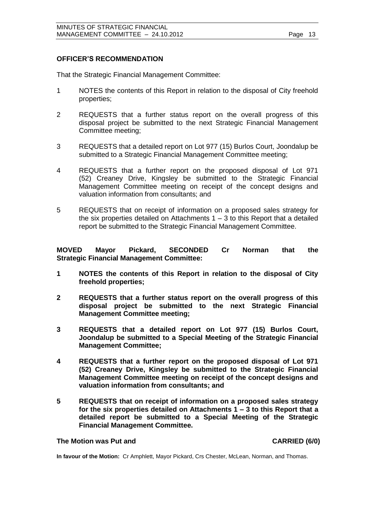#### **OFFICER'S RECOMMENDATION**

That the Strategic Financial Management Committee:

- 1 NOTES the contents of this Report in relation to the disposal of City freehold properties;
- 2 REQUESTS that a further status report on the overall progress of this disposal project be submitted to the next Strategic Financial Management Committee meeting;
- 3 REQUESTS that a detailed report on Lot 977 (15) Burlos Court, Joondalup be submitted to a Strategic Financial Management Committee meeting;
- 4 REQUESTS that a further report on the proposed disposal of Lot 971 (52) Creaney Drive, Kingsley be submitted to the Strategic Financial Management Committee meeting on receipt of the concept designs and valuation information from consultants; and
- 5 REQUESTS that on receipt of information on a proposed sales strategy for the six properties detailed on Attachments  $1 - 3$  to this Report that a detailed report be submitted to the Strategic Financial Management Committee.

**MOVED Mayor Pickard, SECONDED Cr Norman that the Strategic Financial Management Committee:**

- **1 NOTES the contents of this Report in relation to the disposal of City freehold properties;**
- **2 REQUESTS that a further status report on the overall progress of this disposal project be submitted to the next Strategic Financial Management Committee meeting;**
- **3 REQUESTS that a detailed report on Lot 977 (15) Burlos Court, Joondalup be submitted to a Special Meeting of the Strategic Financial Management Committee;**
- **4 REQUESTS that a further report on the proposed disposal of Lot 971 (52) Creaney Drive, Kingsley be submitted to the Strategic Financial Management Committee meeting on receipt of the concept designs and valuation information from consultants; and**
- **5 REQUESTS that on receipt of information on a proposed sales strategy for the six properties detailed on Attachments 1 – 3 to this Report that a detailed report be submitted to a Special Meeting of the Strategic Financial Management Committee.**

#### **The Motion was Put and CARRIED (6/0)**

**In favour of the Motion:** Cr Amphlett, Mayor Pickard, Crs Chester, McLean, Norman, and Thomas.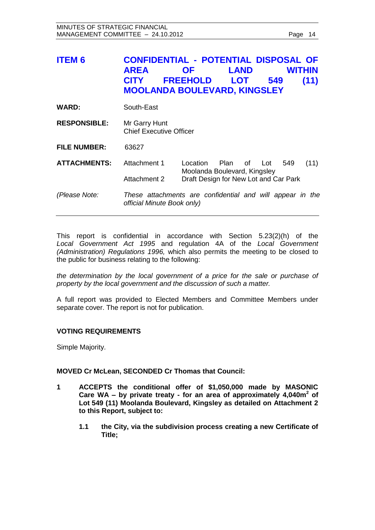# <span id="page-13-0"></span>**ITEM 6 CONFIDENTIAL - POTENTIAL DISPOSAL OF AREA OF LAND WITHIN CITY FREEHOLD LOT 549 (11) MOOLANDA BOULEVARD, KINGSLEY**

| South-East |
|------------|
|            |

- **RESPONSIBLE:** Mr Garry Hunt Chief Executive Officer
- **FILE NUMBER:** 63627
- **ATTACHMENTS:** Attachment 1 Location Plan of Lot 549 (11) Moolanda Boulevard, Kingsley Attachment 2 Draft Design for New Lot and Car Park
- *(Please Note: These attachments are confidential and will appear in the official Minute Book only)*

This report is confidential in accordance with Section 5.23(2)(h) of the *Local Government Act 1995* and regulation 4A of the *Local Government (Administration) Regulations 1996,* which also permits the meeting to be closed to the public for business relating to the following:

*the determination by the local government of a price for the sale or purchase of property by the local government and the discussion of such a matter.* 

A full report was provided to Elected Members and Committee Members under separate cover. The report is not for publication.

#### **VOTING REQUIREMENTS**

Simple Majority.

#### **MOVED Cr McLean, SECONDED Cr Thomas that Council:**

- **1 ACCEPTS the conditional offer of \$1,050,000 made by MASONIC Care WA – by private treaty - for an area of approximately 4,040m<sup>2</sup> of Lot 549 (11) Moolanda Boulevard, Kingsley as detailed on Attachment 2 to this Report, subject to:**
	- **1.1 the City, via the subdivision process creating a new Certificate of Title;**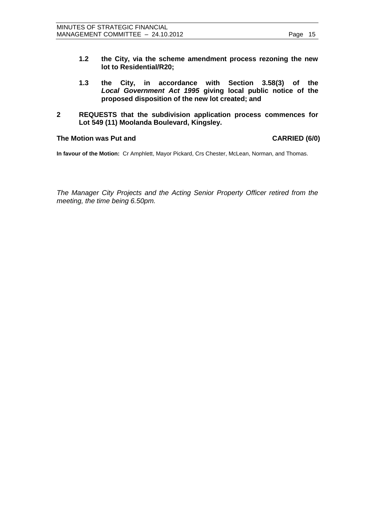- **1.2 the City, via the scheme amendment process rezoning the new lot to Residential/R20;**
- **1.3 the City, in accordance with Section 3.58(3) of the**  *Local Government Act 1995* **giving local public notice of the proposed disposition of the new lot created; and**
- **2 REQUESTS that the subdivision application process commences for Lot 549 (11) Moolanda Boulevard, Kingsley.**

#### The Motion was Put and **CARRIED** (6/0)

**In favour of the Motion:** Cr Amphlett, Mayor Pickard, Crs Chester, McLean, Norman, and Thomas.

*The Manager City Projects and the Acting Senior Property Officer retired from the meeting, the time being 6.50pm.*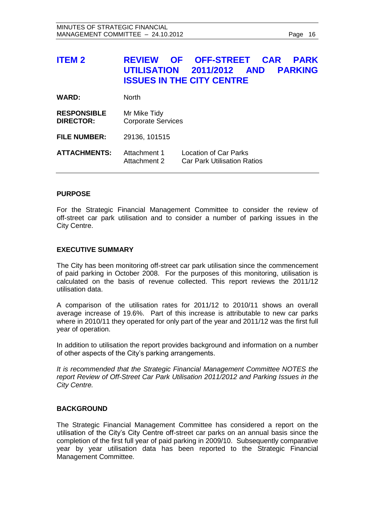<span id="page-15-0"></span>

| <b>ITEM 2</b> |                                  |  | REVIEW OF OFF-STREET CAR PARK     |  |  |  |
|---------------|----------------------------------|--|-----------------------------------|--|--|--|
|               |                                  |  | UTILISATION 2011/2012 AND PARKING |  |  |  |
|               | <b>ISSUES IN THE CITY CENTRE</b> |  |                                   |  |  |  |
|               |                                  |  |                                   |  |  |  |

| WARD: | <b>North</b> |
|-------|--------------|
|       |              |

**RESPONSIBLE** Mr Mike Tidy **DIRECTOR:** Corporate Services

**FILE NUMBER:** 29136, 101515

| <b>ATTACHMENTS:</b> | Attachment 1<br>Attachment 2 | Location of Car Parks<br><b>Car Park Utilisation Ratios</b> |
|---------------------|------------------------------|-------------------------------------------------------------|
|                     |                              |                                                             |

#### **PURPOSE**

For the Strategic Financial Management Committee to consider the review of off-street car park utilisation and to consider a number of parking issues in the City Centre.

#### **EXECUTIVE SUMMARY**

The City has been monitoring off-street car park utilisation since the commencement of paid parking in October 2008. For the purposes of this monitoring, utilisation is calculated on the basis of revenue collected. This report reviews the 2011/12 utilisation data.

A comparison of the utilisation rates for 2011/12 to 2010/11 shows an overall average increase of 19.6%. Part of this increase is attributable to new car parks where in 2010/11 they operated for only part of the year and 2011/12 was the first full year of operation.

In addition to utilisation the report provides background and information on a number of other aspects of the City's parking arrangements.

*It is recommended that the Strategic Financial Management Committee NOTES the report Review of Off-Street Car Park Utilisation 2011/2012 and Parking Issues in the City Centre.*

#### **BACKGROUND**

The Strategic Financial Management Committee has considered a report on the utilisation of the City's City Centre off-street car parks on an annual basis since the completion of the first full year of paid parking in 2009/10. Subsequently comparative year by year utilisation data has been reported to the Strategic Financial Management Committee.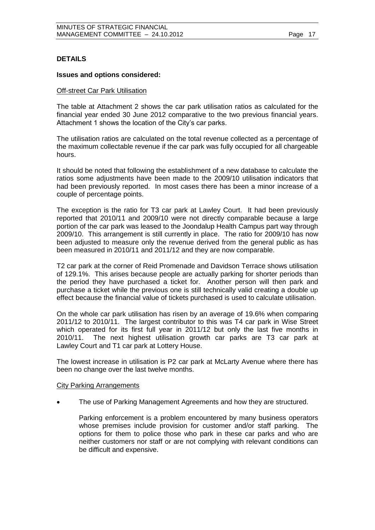#### **DETAILS**

#### **Issues and options considered:**

#### Off-street Car Park Utilisation

The table at Attachment 2 shows the car park utilisation ratios as calculated for the financial year ended 30 June 2012 comparative to the two previous financial years. Attachment 1 shows the location of the City's car parks.

The utilisation ratios are calculated on the total revenue collected as a percentage of the maximum collectable revenue if the car park was fully occupied for all chargeable hours.

It should be noted that following the establishment of a new database to calculate the ratios some adjustments have been made to the 2009/10 utilisation indicators that had been previously reported. In most cases there has been a minor increase of a couple of percentage points.

The exception is the ratio for T3 car park at Lawley Court. It had been previously reported that 2010/11 and 2009/10 were not directly comparable because a large portion of the car park was leased to the Joondalup Health Campus part way through 2009/10. This arrangement is still currently in place. The ratio for 2009/10 has now been adjusted to measure only the revenue derived from the general public as has been measured in 2010/11 and 2011/12 and they are now comparable.

T2 car park at the corner of Reid Promenade and Davidson Terrace shows utilisation of 129.1%. This arises because people are actually parking for shorter periods than the period they have purchased a ticket for. Another person will then park and purchase a ticket while the previous one is still technically valid creating a double up effect because the financial value of tickets purchased is used to calculate utilisation.

On the whole car park utilisation has risen by an average of 19.6% when comparing 2011/12 to 2010/11. The largest contributor to this was T4 car park in Wise Street which operated for its first full year in 2011/12 but only the last five months in 2010/11. The next highest utilisation growth car parks are T3 car park at Lawley Court and T1 car park at Lottery House.

The lowest increase in utilisation is P2 car park at McLarty Avenue where there has been no change over the last twelve months.

#### City Parking Arrangements

The use of Parking Management Agreements and how they are structured.

Parking enforcement is a problem encountered by many business operators whose premises include provision for customer and/or staff parking. The options for them to police those who park in these car parks and who are neither customers nor staff or are not complying with relevant conditions can be difficult and expensive.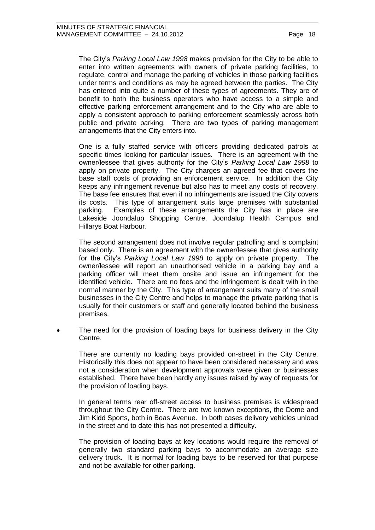The City's *Parking Local Law 1998* makes provision for the City to be able to enter into written agreements with owners of private parking facilities, to regulate, control and manage the parking of vehicles in those parking facilities under terms and conditions as may be agreed between the parties. The City has entered into quite a number of these types of agreements. They are of benefit to both the business operators who have access to a simple and effective parking enforcement arrangement and to the City who are able to apply a consistent approach to parking enforcement seamlessly across both public and private parking. There are two types of parking management arrangements that the City enters into.

One is a fully staffed service with officers providing dedicated patrols at specific times looking for particular issues. There is an agreement with the owner/lessee that gives authority for the City's *Parking Local Law 1998* to apply on private property. The City charges an agreed fee that covers the base staff costs of providing an enforcement service. In addition the City keeps any infringement revenue but also has to meet any costs of recovery. The base fee ensures that even if no infringements are issued the City covers its costs. This type of arrangement suits large premises with substantial parking. Examples of these arrangements the City has in place are Lakeside Joondalup Shopping Centre, Joondalup Health Campus and Hillarys Boat Harbour.

The second arrangement does not involve regular patrolling and is complaint based only. There is an agreement with the owner/lessee that gives authority for the City's *Parking Local Law 1998* to apply on private property. The owner/lessee will report an unauthorised vehicle in a parking bay and a parking officer will meet them onsite and issue an infringement for the identified vehicle. There are no fees and the infringement is dealt with in the normal manner by the City. This type of arrangement suits many of the small businesses in the City Centre and helps to manage the private parking that is usually for their customers or staff and generally located behind the business premises.

 The need for the provision of loading bays for business delivery in the City Centre.

There are currently no loading bays provided on-street in the City Centre. Historically this does not appear to have been considered necessary and was not a consideration when development approvals were given or businesses established. There have been hardly any issues raised by way of requests for the provision of loading bays.

In general terms rear off-street access to business premises is widespread throughout the City Centre. There are two known exceptions, the Dome and Jim Kidd Sports, both in Boas Avenue. In both cases delivery vehicles unload in the street and to date this has not presented a difficulty.

The provision of loading bays at key locations would require the removal of generally two standard parking bays to accommodate an average size delivery truck. It is normal for loading bays to be reserved for that purpose and not be available for other parking.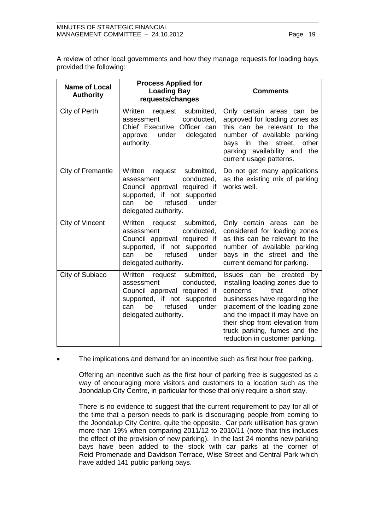A review of other local governments and how they manage requests for loading bays provided the following:

| <b>Name of Local</b><br><b>Authority</b> | <b>Process Applied for</b><br><b>Loading Bay</b><br>requests/changes                                                                                                              | <b>Comments</b>                                                                                                                                                                                                                                                                                     |
|------------------------------------------|-----------------------------------------------------------------------------------------------------------------------------------------------------------------------------------|-----------------------------------------------------------------------------------------------------------------------------------------------------------------------------------------------------------------------------------------------------------------------------------------------------|
| City of Perth                            | Written<br>submitted,<br>request<br>conducted,<br>assessment<br>Chief Executive Officer can<br>delegated<br>under<br>approve<br>authority.                                        | Only certain areas can<br>be<br>approved for loading zones as<br>this can be relevant to the<br>number of available parking<br>the<br>other<br>bays in<br>street,<br>parking availability and the<br>current usage patterns.                                                                        |
| City of Fremantle                        | Written request<br>submitted,<br>conducted,<br>assessment<br>Council approval required if<br>supported, if not supported<br>be<br>refused<br>can<br>under<br>delegated authority. | Do not get many applications<br>as the existing mix of parking<br>works well.                                                                                                                                                                                                                       |
| City of Vincent                          | request submitted,<br>Written<br>conducted,<br>assessment<br>Council approval required if<br>supported, if not supported<br>refused<br>can<br>be<br>under<br>delegated authority. | Only certain areas can<br>be<br>considered for loading zones<br>as this can be relevant to the<br>number of available parking<br>bays in the street and the<br>current demand for parking.                                                                                                          |
| City of Subiaco                          | request submitted,<br>Written<br>assessment<br>conducted,<br>Council approval required if<br>supported, if not supported<br>be<br>refused<br>under<br>can<br>delegated authority. | Issues can be created<br>by<br>installing loading zones due to<br>that<br>other<br>concerns<br>businesses have regarding the<br>placement of the loading zone<br>and the impact it may have on<br>their shop front elevation from<br>truck parking, fumes and the<br>reduction in customer parking. |

The implications and demand for an incentive such as first hour free parking.

Offering an incentive such as the first hour of parking free is suggested as a way of encouraging more visitors and customers to a location such as the Joondalup City Centre, in particular for those that only require a short stay.

There is no evidence to suggest that the current requirement to pay for all of the time that a person needs to park is discouraging people from coming to the Joondalup City Centre, quite the opposite. Car park utilisation has grown more than 19% when comparing 2011/12 to 2010/11 (note that this includes the effect of the provision of new parking). In the last 24 months new parking bays have been added to the stock with car parks at the corner of Reid Promenade and Davidson Terrace, Wise Street and Central Park which have added 141 public parking bays.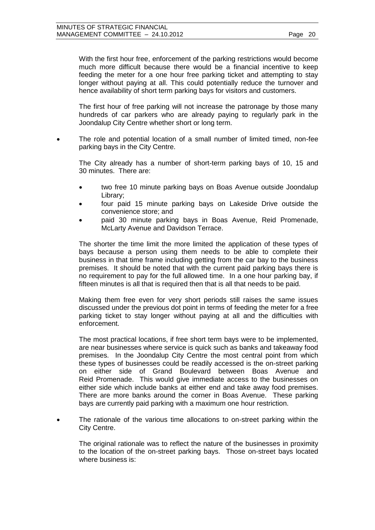With the first hour free, enforcement of the parking restrictions would become much more difficult because there would be a financial incentive to keep feeding the meter for a one hour free parking ticket and attempting to stay longer without paying at all. This could potentially reduce the turnover and hence availability of short term parking bays for visitors and customers.

The first hour of free parking will not increase the patronage by those many hundreds of car parkers who are already paying to regularly park in the Joondalup City Centre whether short or long term.

 The role and potential location of a small number of limited timed, non-fee parking bays in the City Centre.

The City already has a number of short-term parking bays of 10, 15 and 30 minutes. There are:

- two free 10 minute parking bays on Boas Avenue outside Joondalup Library;
- four paid 15 minute parking bays on Lakeside Drive outside the convenience store; and
- paid 30 minute parking bays in Boas Avenue, Reid Promenade, McLarty Avenue and Davidson Terrace.

The shorter the time limit the more limited the application of these types of bays because a person using them needs to be able to complete their business in that time frame including getting from the car bay to the business premises. It should be noted that with the current paid parking bays there is no requirement to pay for the full allowed time. In a one hour parking bay, if fifteen minutes is all that is required then that is all that needs to be paid.

Making them free even for very short periods still raises the same issues discussed under the previous dot point in terms of feeding the meter for a free parking ticket to stay longer without paying at all and the difficulties with enforcement.

The most practical locations, if free short term bays were to be implemented, are near businesses where service is quick such as banks and takeaway food premises. In the Joondalup City Centre the most central point from which these types of businesses could be readily accessed is the on-street parking on either side of Grand Boulevard between Boas Avenue and Reid Promenade. This would give immediate access to the businesses on either side which include banks at either end and take away food premises. There are more banks around the corner in Boas Avenue. These parking bays are currently paid parking with a maximum one hour restriction.

 The rationale of the various time allocations to on-street parking within the City Centre.

The original rationale was to reflect the nature of the businesses in proximity to the location of the on-street parking bays. Those on-street bays located where business is: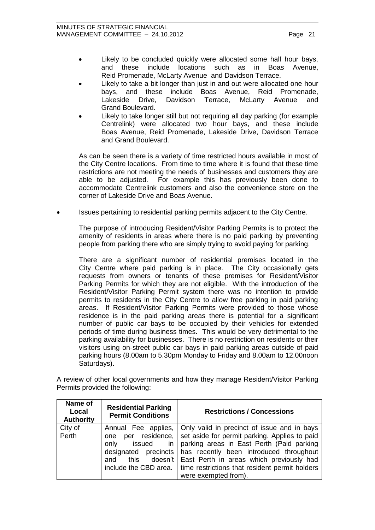- Likely to be concluded quickly were allocated some half hour bays, and these include locations such as in Boas Avenue, Reid Promenade, McLarty Avenue and Davidson Terrace.
- Likely to take a bit longer than just in and out were allocated one hour bays, and these include Boas Avenue, Reid Promenade, Lakeside Drive, Davidson Terrace, McLarty Avenue and Grand Boulevard.
- Likely to take longer still but not requiring all day parking (for example Centrelink) were allocated two hour bays, and these include Boas Avenue, Reid Promenade, Lakeside Drive, Davidson Terrace and Grand Boulevard.

As can be seen there is a variety of time restricted hours available in most of the City Centre locations. From time to time where it is found that these time restrictions are not meeting the needs of businesses and customers they are able to be adjusted. For example this has previously been done to accommodate Centrelink customers and also the convenience store on the corner of Lakeside Drive and Boas Avenue.

Issues pertaining to residential parking permits adjacent to the City Centre.

The purpose of introducing Resident/Visitor Parking Permits is to protect the amenity of residents in areas where there is no paid parking by preventing people from parking there who are simply trying to avoid paying for parking.

There are a significant number of residential premises located in the City Centre where paid parking is in place. The City occasionally gets requests from owners or tenants of these premises for Resident/Visitor Parking Permits for which they are not eligible. With the introduction of the Resident/Visitor Parking Permit system there was no intention to provide permits to residents in the City Centre to allow free parking in paid parking areas. If Resident/Visitor Parking Permits were provided to those whose residence is in the paid parking areas there is potential for a significant number of public car bays to be occupied by their vehicles for extended periods of time during business times. This would be very detrimental to the parking availability for businesses. There is no restriction on residents or their visitors using on-street public car bays in paid parking areas outside of paid parking hours (8.00am to 5.30pm Monday to Friday and 8.00am to 12.00noon Saturdays).

A review of other local governments and how they manage Resident/Visitor Parking Permits provided the following:

| Name of<br>Local<br><b>Authority</b> | <b>Residential Parking</b><br><b>Permit Conditions</b> | <b>Restrictions / Concessions</b>                                 |
|--------------------------------------|--------------------------------------------------------|-------------------------------------------------------------------|
| City of                              |                                                        | Annual Fee applies,   Only valid in precinct of issue and in bays |
| Perth                                | one.                                                   | per residence, set aside for permit parking. Applies to paid      |
|                                      | issued<br>only<br>in                                   | parking areas in East Perth (Paid parking                         |
|                                      | designated precincts                                   | has recently been introduced throughout                           |
|                                      | this<br>and                                            | doesn't   East Perth in areas which previously had                |
|                                      | include the CBD area.                                  | time restrictions that resident permit holders                    |
|                                      |                                                        | were exempted from).                                              |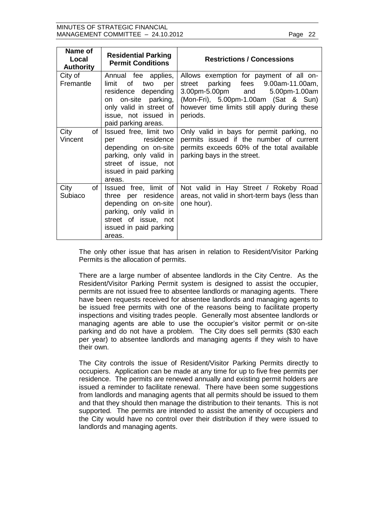| Name of<br>Local<br><b>Authority</b> | <b>Residential Parking</b><br><b>Permit Conditions</b>                                                                                                                   | <b>Restrictions / Concessions</b>                                                                                                                                                                                        |
|--------------------------------------|--------------------------------------------------------------------------------------------------------------------------------------------------------------------------|--------------------------------------------------------------------------------------------------------------------------------------------------------------------------------------------------------------------------|
| City of<br>Fremantle                 | Annual fee applies,<br>limit<br>of<br>two<br>per<br>residence depending<br>on on-site parking,<br>only valid in street of<br>issue, not issued in<br>paid parking areas. | Allows exemption for payment of all on-<br>parking fees 9.00am-11.00am,<br>street<br>3.00pm-5.00pm and 5.00pm-1.00am<br>(Mon-Fri), 5.00pm-1.00am (Sat & Sun)<br>however time limits still apply during these<br>periods. |
| City<br>of<br>Vincent                | Issued free, limit two<br>per residence<br>depending on on-site<br>parking, only valid in<br>street of issue, not<br>issued in paid parking<br>areas.                    | Only valid in bays for permit parking, no<br>permits issued if the number of current<br>permits exceeds 60% of the total available<br>parking bays in the street.                                                        |
| City<br>of I<br>Subiaco              | Issued free, limit of<br>three per residence<br>depending on on-site<br>parking, only valid in<br>street of issue, not<br>issued in paid parking<br>areas.               | Not valid in Hay Street / Rokeby Road<br>areas, not valid in short-term bays (less than<br>one hour).                                                                                                                    |

The only other issue that has arisen in relation to Resident/Visitor Parking Permits is the allocation of permits.

There are a large number of absentee landlords in the City Centre. As the Resident/Visitor Parking Permit system is designed to assist the occupier, permits are not issued free to absentee landlords or managing agents. There have been requests received for absentee landlords and managing agents to be issued free permits with one of the reasons being to facilitate property inspections and visiting trades people. Generally most absentee landlords or managing agents are able to use the occupier's visitor permit or on-site parking and do not have a problem. The City does sell permits (\$30 each per year) to absentee landlords and managing agents if they wish to have their own.

The City controls the issue of Resident/Visitor Parking Permits directly to occupiers. Application can be made at any time for up to five free permits per residence. The permits are renewed annually and existing permit holders are issued a reminder to facilitate renewal. There have been some suggestions from landlords and managing agents that all permits should be issued to them and that they should then manage the distribution to their tenants. This is not supported. The permits are intended to assist the amenity of occupiers and the City would have no control over their distribution if they were issued to landlords and managing agents.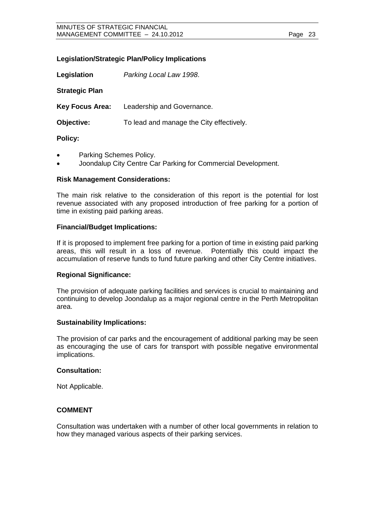#### **Legislation/Strategic Plan/Policy Implications**

**Legislation** *Parking Local Law 1998*. **Strategic Plan Key Focus Area:** Leadership and Governance. **Objective:** To lead and manage the City effectively.

#### **Policy:**

- Parking Schemes Policy.
- Joondalup City Centre Car Parking for Commercial Development.

#### **Risk Management Considerations:**

The main risk relative to the consideration of this report is the potential for lost revenue associated with any proposed introduction of free parking for a portion of time in existing paid parking areas.

#### **Financial/Budget Implications:**

If it is proposed to implement free parking for a portion of time in existing paid parking areas, this will result in a loss of revenue. Potentially this could impact the accumulation of reserve funds to fund future parking and other City Centre initiatives.

#### **Regional Significance:**

The provision of adequate parking facilities and services is crucial to maintaining and continuing to develop Joondalup as a major regional centre in the Perth Metropolitan area.

#### **Sustainability Implications:**

The provision of car parks and the encouragement of additional parking may be seen as encouraging the use of cars for transport with possible negative environmental implications.

#### **Consultation:**

Not Applicable.

#### **COMMENT**

Consultation was undertaken with a number of other local governments in relation to how they managed various aspects of their parking services.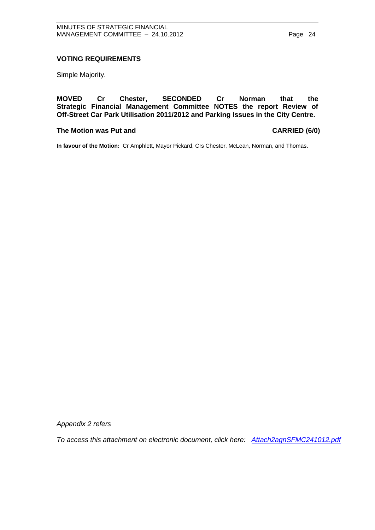#### **VOTING REQUIREMENTS**

Simple Majority.

**MOVED Cr Chester, SECONDED Cr Norman that the Strategic Financial Management Committee NOTES the report Review of Off-Street Car Park Utilisation 2011/2012 and Parking Issues in the City Centre.**

#### The Motion was Put and **CARRIED** (6/0)

**In favour of the Motion:** Cr Amphlett, Mayor Pickard, Crs Chester, McLean, Norman, and Thomas.

*Appendix 2 refers*

*To access this attachment on electronic document, click here[:](Attach2agnSFMC241012.pdf) [Attach2agnSFMC241012.pdf](file://coj-fluorine/Minutes/minagenda/FINAL/Attachments/Attach2agnSFMC241012.pdf)*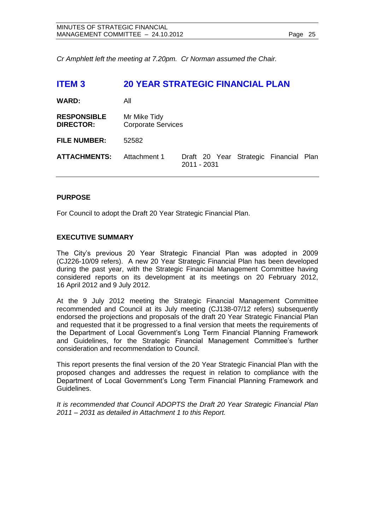*Cr Amphlett left the meeting at 7.20pm. Cr Norman assumed the Chair.*

<span id="page-24-0"></span>

| <b>ITEM3</b>                           | <b>20 YEAR STRATEGIC FINANCIAL PLAN</b>   |                                                       |  |  |  |
|----------------------------------------|-------------------------------------------|-------------------------------------------------------|--|--|--|
| <b>WARD:</b>                           | All                                       |                                                       |  |  |  |
| <b>RESPONSIBLE</b><br><b>DIRECTOR:</b> | Mr Mike Tidy<br><b>Corporate Services</b> |                                                       |  |  |  |
| <b>FILE NUMBER:</b>                    | 52582                                     |                                                       |  |  |  |
| <b>ATTACHMENTS:</b>                    | Attachment 1                              | Draft 20 Year Strategic Financial Plan<br>2011 - 2031 |  |  |  |

#### **PURPOSE**

For Council to adopt the Draft 20 Year Strategic Financial Plan.

#### **EXECUTIVE SUMMARY**

The City's previous 20 Year Strategic Financial Plan was adopted in 2009 (CJ226-10/09 refers). A new 20 Year Strategic Financial Plan has been developed during the past year, with the Strategic Financial Management Committee having considered reports on its development at its meetings on 20 February 2012, 16 April 2012 and 9 July 2012.

At the 9 July 2012 meeting the Strategic Financial Management Committee recommended and Council at its July meeting (CJ138-07/12 refers) subsequently endorsed the projections and proposals of the draft 20 Year Strategic Financial Plan and requested that it be progressed to a final version that meets the requirements of the Department of Local Government's Long Term Financial Planning Framework and Guidelines, for the Strategic Financial Management Committee's further consideration and recommendation to Council.

This report presents the final version of the 20 Year Strategic Financial Plan with the proposed changes and addresses the request in relation to compliance with the Department of Local Government's Long Term Financial Planning Framework and Guidelines.

*It is recommended that Council ADOPTS the Draft 20 Year Strategic Financial Plan 2011 – 2031 as detailed in Attachment 1 to this Report.*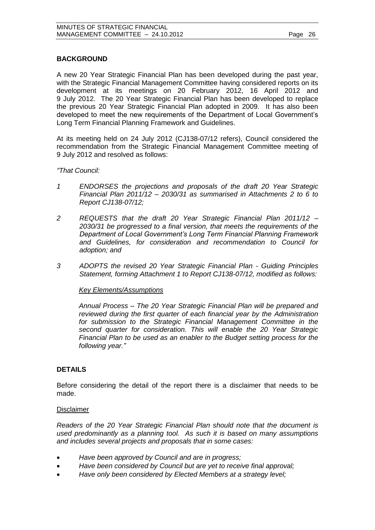#### **BACKGROUND**

A new 20 Year Strategic Financial Plan has been developed during the past year, with the Strategic Financial Management Committee having considered reports on its development at its meetings on 20 February 2012, 16 April 2012 and 9 July 2012. The 20 Year Strategic Financial Plan has been developed to replace the previous 20 Year Strategic Financial Plan adopted in 2009. It has also been developed to meet the new requirements of the Department of Local Government's Long Term Financial Planning Framework and Guidelines.

At its meeting held on 24 July 2012 (CJ138-07/12 refers), Council considered the recommendation from the Strategic Financial Management Committee meeting of 9 July 2012 and resolved as follows:

#### *"That Council:*

- *1 ENDORSES the projections and proposals of the draft 20 Year Strategic Financial Plan 2011/12 – 2030/31 as summarised in Attachments 2 to 6 to Report CJ138-07/12;*
- *2 REQUESTS that the draft 20 Year Strategic Financial Plan 2011/12 – 2030/31 be progressed to a final version, that meets the requirements of the Department of Local Government's Long Term Financial Planning Framework and Guidelines, for consideration and recommendation to Council for adoption; and*
- *3 ADOPTS the revised 20 Year Strategic Financial Plan - Guiding Principles Statement, forming Attachment 1 to Report CJ138-07/12, modified as follows:*

#### *Key Elements/Assumptions*

*Annual Process – The 20 Year Strategic Financial Plan will be prepared and reviewed during the first quarter of each financial year by the Administration for submission to the Strategic Financial Management Committee in the second quarter for consideration. This will enable the 20 Year Strategic Financial Plan to be used as an enabler to the Budget setting process for the following year."*

#### **DETAILS**

Before considering the detail of the report there is a disclaimer that needs to be made.

#### Disclaimer

*Readers of the 20 Year Strategic Financial Plan should note that the document is used predominantly as a planning tool. As such it is based on many assumptions and includes several projects and proposals that in some cases:*

- *Have been approved by Council and are in progress;*
- *Have been considered by Council but are yet to receive final approval;*
- *Have only been considered by Elected Members at a strategy level;*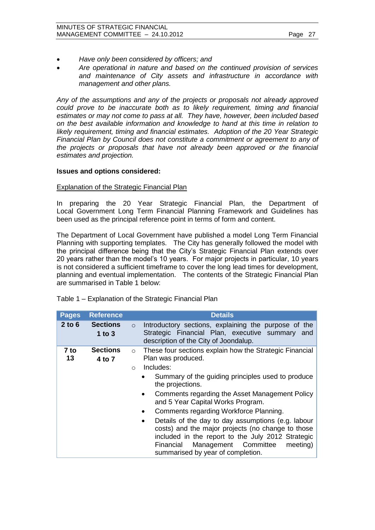- *Have only been considered by officers; and*
- *Are operational in nature and based on the continued provision of services and maintenance of City assets and infrastructure in accordance with management and other plans.*

*Any of the assumptions and any of the projects or proposals not already approved could prove to be inaccurate both as to likely requirement, timing and financial estimates or may not come to pass at all. They have, however, been included based on the best available information and knowledge to hand at this time in relation to likely requirement, timing and financial estimates. Adoption of the 20 Year Strategic Financial Plan by Council does not constitute a commitment or agreement to any of the projects or proposals that have not already been approved or the financial estimates and projection.*

#### **Issues and options considered:**

#### Explanation of the Strategic Financial Plan

In preparing the 20 Year Strategic Financial Plan, the Department of Local Government Long Term Financial Planning Framework and Guidelines has been used as the principal reference point in terms of form and content.

The Department of Local Government have published a model Long Term Financial Planning with supporting templates. The City has generally followed the model with the principal difference being that the City's Strategic Financial Plan extends over 20 years rather than the model's 10 years. For major projects in particular, 10 years is not considered a sufficient timeframe to cover the long lead times for development, planning and eventual implementation. The contents of the Strategic Financial Plan are summarised in Table 1 below:

| <b>Sections</b><br>$2$ to 6<br>$\Omega$<br>1 to $3$<br>description of the City of Joondalup.                                                                                                                                                                       | <b>Pages</b> | <b>Reference</b> | <b>Details</b>                                                                                                                                                                                                                                                                                                                             |
|--------------------------------------------------------------------------------------------------------------------------------------------------------------------------------------------------------------------------------------------------------------------|--------------|------------------|--------------------------------------------------------------------------------------------------------------------------------------------------------------------------------------------------------------------------------------------------------------------------------------------------------------------------------------------|
|                                                                                                                                                                                                                                                                    |              |                  | Introductory sections, explaining the purpose of the<br>Strategic Financial Plan, executive summary and                                                                                                                                                                                                                                    |
| <b>Sections</b><br>7 to<br>$\circ$<br>13<br>Plan was produced.<br>4 to 7<br>Includes:<br>$\circ$<br>the projections.<br>and 5 Year Capital Works Program.<br>Comments regarding Workforce Planning.<br>$\bullet$<br>$\bullet$<br>Management Committee<br>Financial |              |                  | These four sections explain how the Strategic Financial<br>Summary of the guiding principles used to produce<br>Comments regarding the Asset Management Policy<br>Details of the day to day assumptions (e.g. labour<br>costs) and the major projects (no change to those<br>included in the report to the July 2012 Strategic<br>meeting) |

Table 1 – Explanation of the Strategic Financial Plan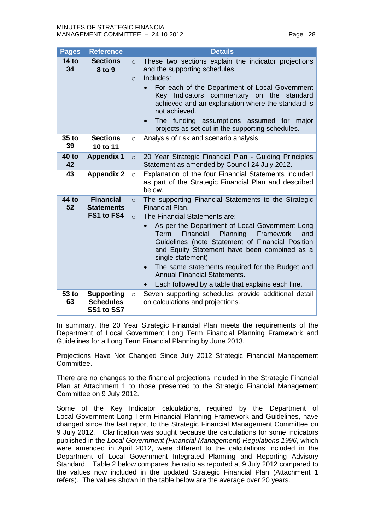MINUTES OF STRATEGIC FINANCIAL MANAGEMENT COMMITTEE  $-24.10.2012$ 

| ane | Ω |
|-----|---|
|     |   |

| <b>Pages</b>           | <b>Reference</b>                                    |                     | <b>Details</b>                                                                                                                                                                                                                                                                                                                                                                                                                                                                                                                  |
|------------------------|-----------------------------------------------------|---------------------|---------------------------------------------------------------------------------------------------------------------------------------------------------------------------------------------------------------------------------------------------------------------------------------------------------------------------------------------------------------------------------------------------------------------------------------------------------------------------------------------------------------------------------|
| 14 <sub>to</sub><br>34 | <b>Sections</b><br>8 to 9                           | $\circ$<br>$\circ$  | These two sections explain the indicator projections<br>and the supporting schedules.<br>Includes:<br>For each of the Department of Local Government<br>Key Indicators commentary on the<br>standard<br>achieved and an explanation where the standard is<br>not achieved.<br>The funding assumptions assumed for major<br>$\bullet$<br>projects as set out in the supporting schedules.                                                                                                                                        |
| 35 to<br>39            | <b>Sections</b><br>10 to 11                         | $\circ$             | Analysis of risk and scenario analysis.                                                                                                                                                                                                                                                                                                                                                                                                                                                                                         |
| 40 to<br>42            | <b>Appendix 1</b>                                   | $\circ$             | 20 Year Strategic Financial Plan - Guiding Principles<br>Statement as amended by Council 24 July 2012.                                                                                                                                                                                                                                                                                                                                                                                                                          |
| 43                     | <b>Appendix 2</b>                                   | $\circ$             | Explanation of the four Financial Statements included<br>as part of the Strategic Financial Plan and described<br>below.                                                                                                                                                                                                                                                                                                                                                                                                        |
| 44 to<br>52            | <b>Financial</b><br><b>Statements</b><br>FS1 to FS4 | $\circ$<br>$\Omega$ | The supporting Financial Statements to the Strategic<br>Financial Plan.<br>The Financial Statements are:<br>As per the Department of Local Government Long<br>$\bullet$<br>Term<br>Financial<br>Planning<br>Framework<br>and<br>Guidelines (note Statement of Financial Position<br>and Equity Statement have been combined as a<br>single statement).<br>The same statements required for the Budget and<br>$\bullet$<br><b>Annual Financial Statements.</b><br>Each followed by a table that explains each line.<br>$\bullet$ |
| 53 to<br>63            | <b>Supporting</b><br><b>Schedules</b><br>SS1 to SS7 | $\circ$             | Seven supporting schedules provide additional detail<br>on calculations and projections.                                                                                                                                                                                                                                                                                                                                                                                                                                        |

In summary, the 20 Year Strategic Financial Plan meets the requirements of the Department of Local Government Long Term Financial Planning Framework and Guidelines for a Long Term Financial Planning by June 2013.

Projections Have Not Changed Since July 2012 Strategic Financial Management Committee.

There are no changes to the financial projections included in the Strategic Financial Plan at Attachment 1 to those presented to the Strategic Financial Management Committee on 9 July 2012.

Some of the Key Indicator calculations, required by the Department of Local Government Long Term Financial Planning Framework and Guidelines, have changed since the last report to the Strategic Financial Management Committee on 9 July 2012. Clarification was sought because the calculations for some indicators published in the *Local Government (Financial Management) Regulations 1996*, which were amended in April 2012, were different to the calculations included in the Department of Local Government Integrated Planning and Reporting Advisory Standard. Table 2 below compares the ratio as reported at 9 July 2012 compared to the values now included in the updated Strategic Financial Plan (Attachment 1 refers). The values shown in the table below are the average over 20 years.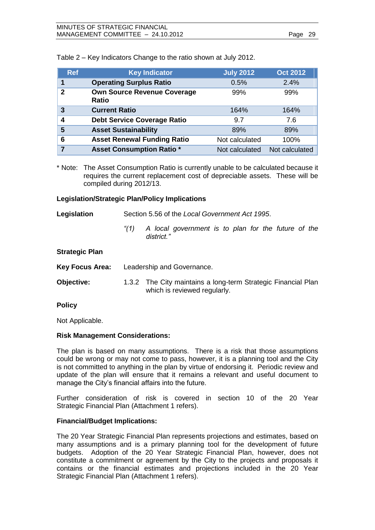| <b>Ref</b>              | <b>Key Indicator</b>                               | <b>July 2012</b> | <b>Oct 2012</b> |  |
|-------------------------|----------------------------------------------------|------------------|-----------------|--|
| 1                       | <b>Operating Surplus Ratio</b>                     | 0.5%             | 2.4%            |  |
| 2                       | <b>Own Source Revenue Coverage</b><br><b>Ratio</b> | 99%              | 99%             |  |
| 3                       | <b>Current Ratio</b>                               | 164%             | 164%            |  |
| $\overline{\mathbf{4}}$ | <b>Debt Service Coverage Ratio</b>                 | 9.7              | 7.6             |  |
| 5                       | <b>Asset Sustainability</b>                        | 89%              | 89%             |  |
| 6                       | <b>Asset Renewal Funding Ratio</b>                 | Not calculated   | 100%            |  |
| 7                       | <b>Asset Consumption Ratio*</b>                    | Not calculated   | Not calculated  |  |

Table 2 – Key Indicators Change to the ratio shown at July 2012.

\* Note: The Asset Consumption Ratio is currently unable to be calculated because it requires the current replacement cost of depreciable assets. These will be compiled during 2012/13.

#### **Legislation/Strategic Plan/Policy Implications**

#### **Legislation** Section 5.56 of the *Local Government Act 1995*.

*"(1) A local government is to plan for the future of the district."*

#### **Strategic Plan**

**Key Focus Area:** Leadership and Governance. **Objective:** 1.3.2 The City maintains a long-term Strategic Financial Plan which is reviewed regularly.

#### **Policy**

Not Applicable.

#### **Risk Management Considerations:**

The plan is based on many assumptions. There is a risk that those assumptions could be wrong or may not come to pass, however, it is a planning tool and the City is not committed to anything in the plan by virtue of endorsing it. Periodic review and update of the plan will ensure that it remains a relevant and useful document to manage the City's financial affairs into the future.

Further consideration of risk is covered in section 10 of the 20 Year Strategic Financial Plan (Attachment 1 refers).

#### **Financial/Budget Implications:**

The 20 Year Strategic Financial Plan represents projections and estimates, based on many assumptions and is a primary planning tool for the development of future budgets. Adoption of the 20 Year Strategic Financial Plan, however, does not constitute a commitment or agreement by the City to the projects and proposals it contains or the financial estimates and projections included in the 20 Year Strategic Financial Plan (Attachment 1 refers).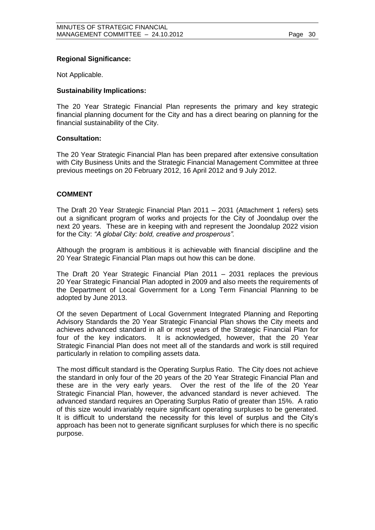#### **Regional Significance:**

Not Applicable.

#### **Sustainability Implications:**

The 20 Year Strategic Financial Plan represents the primary and key strategic financial planning document for the City and has a direct bearing on planning for the financial sustainability of the City.

#### **Consultation:**

The 20 Year Strategic Financial Plan has been prepared after extensive consultation with City Business Units and the Strategic Financial Management Committee at three previous meetings on 20 February 2012, 16 April 2012 and 9 July 2012.

#### **COMMENT**

The Draft 20 Year Strategic Financial Plan 2011 – 2031 (Attachment 1 refers) sets out a significant program of works and projects for the City of Joondalup over the next 20 years. These are in keeping with and represent the Joondalup 2022 vision for the City: *"A global City: bold, creative and prosperous".*

Although the program is ambitious it is achievable with financial discipline and the 20 Year Strategic Financial Plan maps out how this can be done.

The Draft 20 Year Strategic Financial Plan 2011 – 2031 replaces the previous 20 Year Strategic Financial Plan adopted in 2009 and also meets the requirements of the Department of Local Government for a Long Term Financial Planning to be adopted by June 2013.

Of the seven Department of Local Government Integrated Planning and Reporting Advisory Standards the 20 Year Strategic Financial Plan shows the City meets and achieves advanced standard in all or most years of the Strategic Financial Plan for four of the key indicators. It is acknowledged, however, that the 20 Year Strategic Financial Plan does not meet all of the standards and work is still required particularly in relation to compiling assets data.

The most difficult standard is the Operating Surplus Ratio. The City does not achieve the standard in only four of the 20 years of the 20 Year Strategic Financial Plan and these are in the very early years. Over the rest of the life of the 20 Year Strategic Financial Plan, however, the advanced standard is never achieved. The advanced standard requires an Operating Surplus Ratio of greater than 15%. A ratio of this size would invariably require significant operating surpluses to be generated. It is difficult to understand the necessity for this level of surplus and the City's approach has been not to generate significant surpluses for which there is no specific purpose.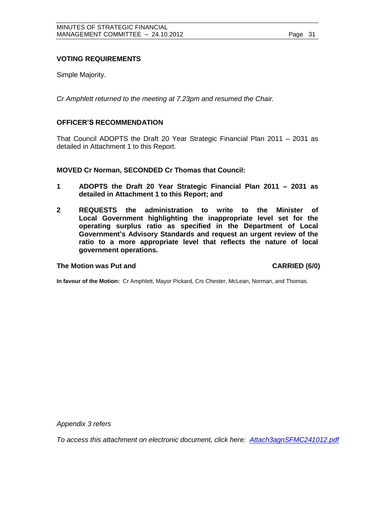Simple Majority.

*Cr Amphlett returned to the meeting at 7.23pm and resumed the Chair.* 

#### **OFFICER'S RECOMMENDATION**

That Council ADOPTS the Draft 20 Year Strategic Financial Plan 2011 – 2031 as detailed in Attachment 1 to this Report.

#### **MOVED Cr Norman, SECONDED Cr Thomas that Council:**

- **1 ADOPTS the Draft 20 Year Strategic Financial Plan 2011 – 2031 as detailed in Attachment 1 to this Report; and**
- **2 REQUESTS the administration to write to the Minister of Local Government highlighting the inappropriate level set for the operating surplus ratio as specified in the Department of Local Government's Advisory Standards and request an urgent review of the ratio to a more appropriate level that reflects the nature of local government operations.**

#### The Motion was Put and **CARRIED** (6/0)

**In favour of the Motion:** Cr Amphlett, Mayor Pickard, Crs Chester, McLean, Norman, and Thomas.

*Appendix 3 refers*

*To access this attachment on electronic document, click her[e:](Attach3agnSFMC241012.pdf) [Attach3agnSFMC241012.pdf](file://coj-fluorine/Minutes/minagenda/FINAL/Attachments/Attach3agnSFMC241012.pdf)*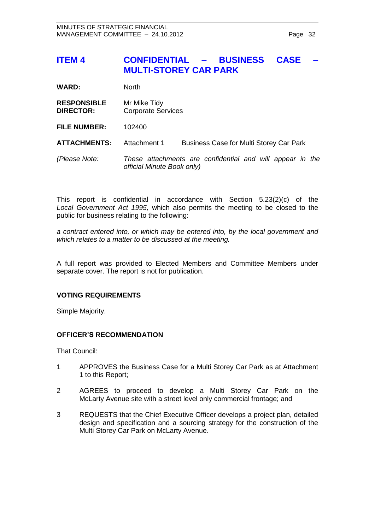## <span id="page-31-0"></span>**ITEM 4 CONFIDENTIAL – BUSINESS CASE – MULTI-STOREY CAR PARK**

| <b>WARD:</b>                           | <b>North</b>                                                                            |  |  |
|----------------------------------------|-----------------------------------------------------------------------------------------|--|--|
| <b>RESPONSIBLE</b><br><b>DIRECTOR:</b> | Mr Mike Tidy<br><b>Corporate Services</b>                                               |  |  |
| <b>FILE NUMBER:</b>                    | 102400                                                                                  |  |  |
| <b>ATTACHMENTS:</b>                    | Attachment 1<br><b>Business Case for Multi Storey Car Park</b>                          |  |  |
| (Please Note:                          | These attachments are confidential and will appear in the<br>official Minute Book only) |  |  |

This report is confidential in accordance with Section 5.23(2)(c) of the *Local Government Act 1995,* which also permits the meeting to be closed to the public for business relating to the following:

*a contract entered into, or which may be entered into, by the local government and which relates to a matter to be discussed at the meeting.* 

A full report was provided to Elected Members and Committee Members under separate cover. The report is not for publication.

#### **VOTING REQUIREMENTS**

Simple Majority.

#### **OFFICER'S RECOMMENDATION**

That Council:

- 1 APPROVES the Business Case for a Multi Storey Car Park as at Attachment 1 to this Report;
- 2 AGREES to proceed to develop a Multi Storey Car Park on the McLarty Avenue site with a street level only commercial frontage; and
- 3 REQUESTS that the Chief Executive Officer develops a project plan, detailed design and specification and a sourcing strategy for the construction of the Multi Storey Car Park on McLarty Avenue.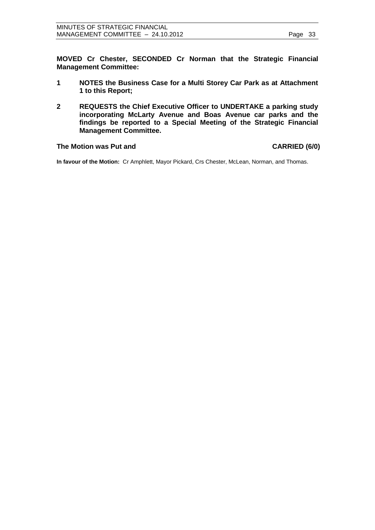**MOVED Cr Chester, SECONDED Cr Norman that the Strategic Financial Management Committee:**

- **1 NOTES the Business Case for a Multi Storey Car Park as at Attachment 1 to this Report;**
- **2 REQUESTS the Chief Executive Officer to UNDERTAKE a parking study incorporating McLarty Avenue and Boas Avenue car parks and the findings be reported to a Special Meeting of the Strategic Financial Management Committee.**

#### The Motion was Put and **CARRIED** (6/0)

**In favour of the Motion:** Cr Amphlett, Mayor Pickard, Crs Chester, McLean, Norman, and Thomas.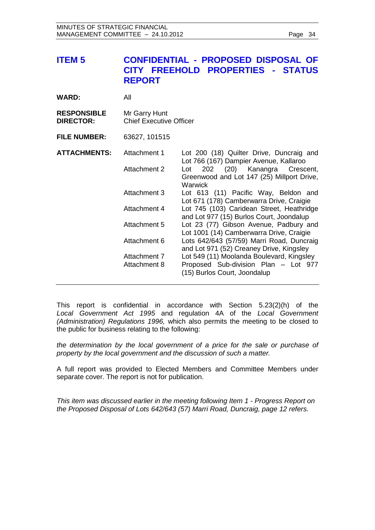<span id="page-33-0"></span>

| <b>ITEM 5</b>                          | <b>CITY</b><br><b>REPORT</b>                                                                                                        | <b>CONFIDENTIAL - PROPOSED DISPOSAL OF</b><br><b>FREEHOLD PROPERTIES</b><br>- STATUS                                                                                                                                                                                                                                                                                                                                                                                                                                                                                                                                                                               |
|----------------------------------------|-------------------------------------------------------------------------------------------------------------------------------------|--------------------------------------------------------------------------------------------------------------------------------------------------------------------------------------------------------------------------------------------------------------------------------------------------------------------------------------------------------------------------------------------------------------------------------------------------------------------------------------------------------------------------------------------------------------------------------------------------------------------------------------------------------------------|
| <b>WARD:</b>                           | All                                                                                                                                 |                                                                                                                                                                                                                                                                                                                                                                                                                                                                                                                                                                                                                                                                    |
| <b>RESPONSIBLE</b><br><b>DIRECTOR:</b> | Mr Garry Hunt<br><b>Chief Executive Officer</b>                                                                                     |                                                                                                                                                                                                                                                                                                                                                                                                                                                                                                                                                                                                                                                                    |
| <b>FILE NUMBER:</b>                    | 63627, 101515                                                                                                                       |                                                                                                                                                                                                                                                                                                                                                                                                                                                                                                                                                                                                                                                                    |
| <b>ATTACHMENTS:</b>                    | Attachment 1<br><b>Attachment 2</b><br>Attachment 3<br>Attachment 4<br>Attachment 5<br>Attachment 6<br>Attachment 7<br>Attachment 8 | Lot 200 (18) Quilter Drive, Duncraig and<br>Lot 766 (167) Dampier Avenue, Kallaroo<br>202 (20) Kanangra Crescent,<br>Lot<br>Greenwood and Lot 147 (25) Millport Drive,<br>Warwick<br>Lot 613 (11) Pacific Way, Beldon and<br>Lot 671 (178) Camberwarra Drive, Craigie<br>Lot 745 (103) Caridean Street, Heathridge<br>and Lot 977 (15) Burlos Court, Joondalup<br>Lot 23 (77) Gibson Avenue, Padbury and<br>Lot 1001 (14) Camberwarra Drive, Craigie<br>Lots 642/643 (57/59) Marri Road, Duncraig<br>and Lot 971 (52) Creaney Drive, Kingsley<br>Lot 549 (11) Moolanda Boulevard, Kingsley<br>Proposed Sub-division Plan - Lot 977<br>(15) Burlos Court, Joondalup |

This report is confidential in accordance with Section 5.23(2)(h) of the *Local Government Act 1995* and regulation 4A of the *Local Government (Administration) Regulations 1996,* which also permits the meeting to be closed to the public for business relating to the following:

*the determination by the local government of a price for the sale or purchase of property by the local government and the discussion of such a matter.* 

A full report was provided to Elected Members and Committee Members under separate cover. The report is not for publication.

*This item was discussed earlier in the meeting following Item 1 - Progress Report on the Proposed Disposal of Lots 642/643 (57) Marri Road, Duncraig, page [12](#page-11-0) refers.*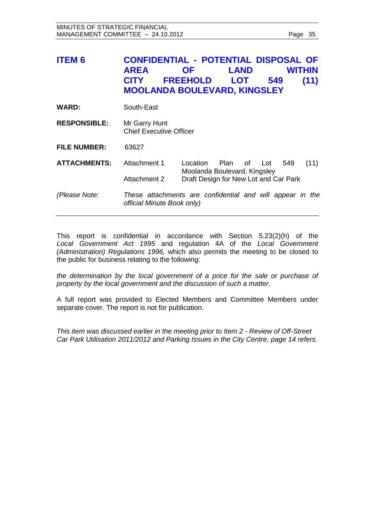# <span id="page-34-0"></span>**ITEM 6 CONFIDENTIAL - POTENTIAL DISPOSAL OF AREA OF LAND WITHIN CITY FREEHOLD LOT 549 (11) MOOLANDA BOULEVARD, KINGSLEY**

WARD: South-East

**RESPONSIBLE:** Mr Garry Hunt Chief Executive Officer

**FILE NUMBER:** 63627

**ATTACHMENTS:** Attachment 1 Location Plan of Lot 549 (11) Moolanda Boulevard, Kingsley Attachment 2 Draft Design for New Lot and Car Park

*(Please Note: These attachments are confidential and will appear in the official Minute Book only)*

This report is confidential in accordance with Section 5.23(2)(h) of the *Local Government Act 1995* and regulation 4A of the *Local Government (Administration) Regulations 1996,* which also permits the meeting to be closed to the public for business relating to the following:

*the determination by the local government of a price for the sale or purchase of property by the local government and the discussion of such a matter.* 

A full report was provided to Elected Members and Committee Members under separate cover. The report is not for publication.

*This item was discussed earlier in the meeting prior to Item 2 - Review of Off-Street Car Park Utilisation 2011/2012 and Parking Issues in the City Centre, page [14](#page-13-0) refers.*